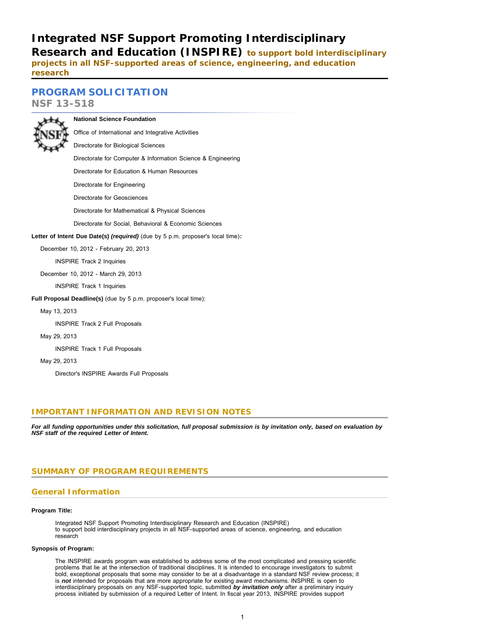# **Integrated NSF Support Promoting Interdisciplinary**

**Research and Education (INSPIRE) to support bold interdisciplinary projects in all NSF-supported areas of science, engineering, and education**

**research**

# **[PROGRAM SOLICITATION](#page-2-0)**

**NSF 13-518**



### **National Science Foundation**

Office of International and Integrative Activities

Directorate for Biological Sciences

Directorate for Computer & Information Science & Engineering

Directorate for Education & Human Resources

Directorate for Engineering

Directorate for Geosciences

Directorate for Mathematical & Physical Sciences

Directorate for Social, Behavioral & Economic Sciences

### **Letter of Intent Due Date(s)** *(required)* (due by 5 p.m. proposer's local time)*:*

December 10, 2012 - February 20, 2013

INSPIRE Track 2 Inquiries

December 10, 2012 - March 29, 2013

### INSPIRE Track 1 Inquiries

**Full Proposal Deadline(s)** (due by 5 p.m. proposer's local time):

May 13, 2013

INSPIRE Track 2 Full Proposals

May 29, 2013

INSPIRE Track 1 Full Proposals

May 29, 2013

Director's INSPIRE Awards Full Proposals

# **IMPORTANT INFORMATION AND REVISION NOTES**

*For all funding opportunities under this solicitation, full proposal submission is by invitation only, based on evaluation by NSF staff of the required Letter of Intent.*

# <span id="page-0-0"></span>**SUMMARY OF PROGRAM REQUIREMENTS**

# **General Information**

### **Program Title:**

Integrated NSF Support Promoting Interdisciplinary Research and Education (INSPIRE) to support bold interdisciplinary projects in all NSF-supported areas of science, engineering, and education research

### **Synopsis of Program:**

The INSPIRE awards program was established to address some of the most complicated and pressing scientific problems that lie at the intersection of traditional disciplines. It is intended to encourage investigators to submit bold, exceptional proposals that some may consider to be at a disadvantage in a standard NSF review process; it is *not* intended for proposals that are more appropriate for existing award mechanisms. INSPIRE is open to interdisciplinary proposals on any NSF-supported topic, submitted *by invitation only* after a preliminary inquiry process initiated by submission of a required Letter of Intent. In fiscal year 2013, INSPIRE provides support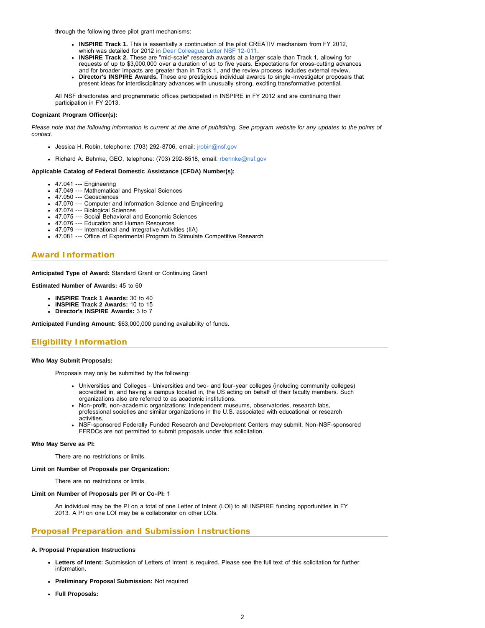through the following three pilot grant mechanisms:

- **INSPIRE Track 1.** This is essentially a continuation of the pilot CREATIV mechanism from FY 2012, which was detailed for 2012 in [Dear Colleague Letter NSF 12-011.](http://nsf.gov/pubs/2012/nsf12011/nsf12011.jsp)
- **INSPIRE Track 2.** These are "mid-scale" research awards at a larger scale than Track 1, allowing for requests of up to \$3,000,000 over a duration of up to five years. Expectations for cross-cutting advances and for broader impacts are greater than in Track 1, and the review process includes external review.
- **Director's INSPIRE Awards.** These are prestigious individual awards to single-investigator proposals that present ideas for interdisciplinary advances with unusually strong, exciting transformative potential.

All NSF directorates and programmatic offices participated in INSPIRE in FY 2012 and are continuing their participation in FY 2013.

#### **Cognizant Program Officer(s):**

*Please note that the following information is current at the time of publishing. See program website for any updates to the points of contact*.

- Jessica H. Robin, telephone: (703) 292-8706, email: *[jrobin@nsf.gov](mailto:jrobin@nsf.gov)*
- Richard A. Behnke, GEO, telephone: (703) 292-8518, email: [rbehnke@nsf.gov](mailto:rbehnke@nsf.gov)

### **Applicable Catalog of Federal Domestic Assistance (CFDA) Number(s):**

- 47.041 --- Engineering
- 47.049 --- Mathematical and Physical Sciences
- 47.050 --- Geosciences
- 47.070 --- Computer and Information Science and Engineering
- 47.074 --- Biological Sciences
- 47.075 --- Social Behavioral and Economic Sciences
- 47.076 --- Education and Human Resources
- 47.079 --- International and Integrative Activities (IIA)
- 47.081 --- Office of Experimental Program to Stimulate Competitive Research

### **Award Information**

**Anticipated Type of Award:** Standard Grant or Continuing Grant

**Estimated Number of Awards:** 45 to 60

- **INSPIRE Track 1 Awards:** 30 to 40
- **INSPIRE Track 2 Awards:** 10 to 15
- **Director's INSPIRE Awards:** 3 to 7

**Anticipated Funding Amount:** \$63,000,000 pending availability of funds.

### **Eligibility Information**

### **Who May Submit Proposals:**

Proposals may only be submitted by the following:

- Universities and Colleges Universities and two- and four-year colleges (including community colleges) accredited in, and having a campus located in, the US acting on behalf of their faculty members. Such organizations also are referred to as academic institutions.
- Non-profit, non-academic organizations: Independent museums, observatories, research labs, professional societies and similar organizations in the U.S. associated with educational or research activities.
- NSF-sponsored Federally Funded Research and Development Centers may submit. Non-NSF-sponsored FFRDCs are not permitted to submit proposals under this solicitation.

#### **Who May Serve as PI:**

There are no restrictions or limits.

**Limit on Number of Proposals per Organization:**

There are no restrictions or limits.

#### **Limit on Number of Proposals per PI or Co-PI:** 1

An individual may be the PI on a total of one Letter of Intent (LOI) to all INSPIRE funding opportunities in FY 2013. A PI on one LOI may be a collaborator on other LOIs.

### **Proposal Preparation and Submission Instructions**

#### **A. Proposal Preparation Instructions**

- **Letters of Intent:** Submission of Letters of Intent is required. Please see the full text of this solicitation for further information.
- **Preliminary Proposal Submission:** Not required
- **Full Proposals:**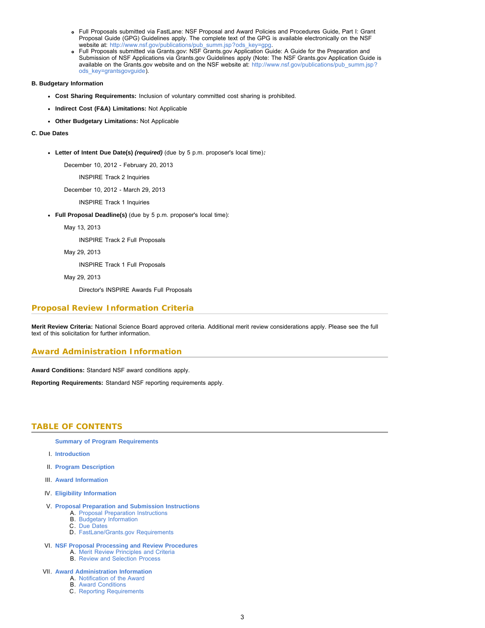- Full Proposals submitted via FastLane: NSF Proposal and Award Policies and Procedures Guide, Part I: Grant Proposal Guide (GPG) Guidelines apply. The complete text of the GPG is available electronically on the NSF website at: [http://www.nsf.gov/publications/pub\\_summ.jsp?ods\\_key=gpg.](http://www.nsf.gov/publications/pub_summ.jsp?ods_key=gpg)
- Full Proposals submitted via Grants.gov: NSF Grants.gov Application Guide: A Guide for the Preparation and Submission of NSF Applications via Grants.gov Guidelines apply (Note: The NSF Grants.gov Application Guide is available on the Grants.gov website and on the NSF website at: [http://www.nsf.gov/publications/pub\\_summ.jsp?](http://www.nsf.gov/publications/pub_summ.jsp?ods_key=grantsgovguide) [ods\\_key=grantsgovguide\)](http://www.nsf.gov/publications/pub_summ.jsp?ods_key=grantsgovguide).

### **B. Budgetary Information**

- **Cost Sharing Requirements:** Inclusion of voluntary committed cost sharing is prohibited.
- **Indirect Cost (F&A) Limitations:** Not Applicable
- **Other Budgetary Limitations:** Not Applicable

#### **C. Due Dates**

**Letter of Intent Due Date(s)** *(required)* (due by 5 p.m. proposer's local time)*:*

December 10, 2012 - February 20, 2013

INSPIRE Track 2 Inquiries

December 10, 2012 - March 29, 2013

INSPIRE Track 1 Inquiries

**Full Proposal Deadline(s)** (due by 5 p.m. proposer's local time):

May 13, 2013

INSPIRE Track 2 Full Proposals

May 29, 2013

INSPIRE Track 1 Full Proposals

May 29, 2013

Director's INSPIRE Awards Full Proposals

### **Proposal Review Information Criteria**

**Merit Review Criteria:** National Science Board approved criteria. Additional merit review considerations apply. Please see the full text of this solicitation for further information.

### **Award Administration Information**

**Award Conditions:** Standard NSF award conditions apply.

<span id="page-2-0"></span>**Reporting Requirements:** Standard NSF reporting requirements apply.

### **TABLE OF CONTENTS**

**[Summary of Program Requirements](#page-0-0)**

- I. **[Introduction](#page-3-0)**
- II. **[Program Description](#page-3-1)**
- III. **[Award Information](#page-4-0)**
- IV. **[Eligibility Information](#page-4-1)**

#### V. **[Proposal Preparation and Submission Instructions](#page-4-2)**

- A. [Proposal Preparation Instructions](#page-4-2)
- B. [Budgetary Information](#page-7-0)
- C. [Due Dates](#page-7-1)
- D. [FastLane/Grants.gov Requirements](#page-7-2)

#### VI. **[NSF Proposal Processing and Review Procedures](#page-7-3)**

- A. [Merit Review Principles and Criteria](#page-8-0)
- B. [Review and Selection Process](#page-9-0)

## VII. **[Award Administration Information](#page-10-0)**

- A. [Notification of the Award](#page-10-1) B. [Award Conditions](#page-10-2)
- C. [Reporting Requirements](#page-11-0)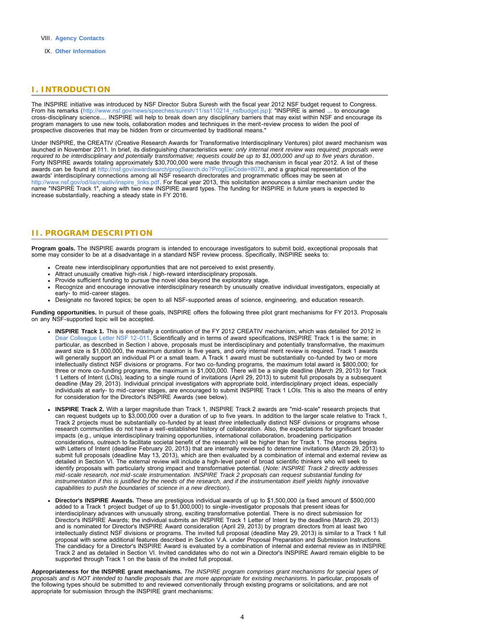IX. **[Other Information](#page-11-2)**

# <span id="page-3-0"></span>**I. INTRODUCTION**

The INSPIRE initiative was introduced by NSF Director Subra Suresh with the fiscal year 2012 NSF budget request to Congress. From his remarks ([http://www.nsf.gov/news/speeches/suresh/11/ss110214\\_nsfbudget.jsp](http://www.nsf.gov/news/speeches/suresh/11/ss110214_nsfbudget.jsp)): "INSPIRE is aimed ... to encourage cross-disciplinary science.... INSPIRE will help to break down any disciplinary barriers that may exist within NSF and encourage its program managers to use new tools, collaboration modes and techniques in the merit-review process to widen the pool of prospective discoveries that may be hidden from or circumvented by traditional means."

Under INSPIRE, the CREATIV (Creative Research Awards for Transformative Interdisciplinary Ventures) pilot award mechanism was launched in November 2011. In brief, its distinguishing characteristics were: *only internal merit review was required; proposals were required to be interdisciplinary and potentially transformative; requests could be up to \$1,000,000 and up to five years duration*. Forty INSPIRE awards totaling approximately \$30,700,000 were made through this mechanism in fiscal year 2012. A list of these awards can be found at [http://nsf.gov/awardsearch/progSearch.do?ProgEleCode=8078,](http://nsf.gov/awardsearch/progSearch.do?ProgEleCode=8078) and a graphical representation of the awards' interdisciplinary connections among all NSF research directorates and programmatic offices may be seen at [http://www.nsf.gov/od/iia/creativ/inspire\\_links.pdf.](http://www.nsf.gov/od/iia/creativ/inspire_links.pdf) For fiscal year 2013, this solicitation announces a similar mechanism under the name "INSPIRE Track 1", along with two new INSPIRE award types. The funding for INSPIRE in future years is expected to increase substantially, reaching a steady state in FY 2016.

# <span id="page-3-1"></span>**II. PROGRAM DESCRIPTION**

**Program goals.** The INSPIRE awards program is intended to encourage investigators to submit bold, exceptional proposals that some may consider to be at a disadvantage in a standard NSF review process. Specifically, INSPIRE seeks to:

- Create new interdisciplinary opportunities that are not perceived to exist presently.
- Attract unusually creative high-risk / high-reward interdisciplinary proposals.
- Provide sufficient funding to pursue the novel idea beyond the exploratory stage.
- Recognize and encourage innovative interdisciplinary research by unusually creative individual investigators, especially at early- to mid-career stages.
- Designate no favored topics; be open to all NSF-supported areas of science, engineering, and education research.

**Funding opportunities.** In pursuit of these goals, INSPIRE offers the following three pilot grant mechanisms for FY 2013. Proposals on any NSF-supported topic will be accepted.

- **INSPIRE Track 1.** This is essentially a continuation of the FY 2012 CREATIV mechanism, which was detailed for 2012 in [Dear Colleague Letter NSF 12-011](http://nsf.gov/pubs/2012/nsf12011/nsf12011.jsp). Scientifically and in terms of award specifications, INSPIRE Track 1 is the same; in particular, as described in Section I above, proposals must be interdisciplinary and potentially transformative, the maximum award size is \$1,000,000, the maximum duration is five years, and only internal merit review is required. Track 1 awards will generally support an individual PI or a small team. A Track 1 award must be substantially co-funded by two or more intellectually distinct NSF divisions or programs. For two co-funding programs, the maximum total award is \$800,000; for three or more co-funding programs, the maximum is \$1,000,000. There will be a single deadline (March 29, 2013) for Track 1 Letters of Intent (LOIs), leading to a single round of invitations (April 29, 2013) to submit full proposals by a subsequent deadline (May 29, 2013). Individual principal investigators with appropriate bold, interdisciplinary project ideas, especially individuals at early- to mid-career stages, are encouraged to submit INSPIRE Track 1 LOIs. This is also the means of entry for consideration for the Director's INSPIRE Awards (see below).
- **INSPIRE Track 2.** With a larger magnitude than Track 1, INSPIRE Track 2 awards are "mid-scale" research projects that can request budgets up to \$3,000,000 over a duration of up to five years. In addition to the larger scale relative to Track 1, Track 2 projects must be substantially co-funded by at least *three* intellectually distinct NSF divisions or programs whose research communities do not have a well-established history of collaboration. Also, the expectations for significant broader impacts (e.g., unique interdisciplinary training opportunities, international collaboration, broadening participation considerations, outreach to facilitate societal benefit of the research) will be higher than for Track 1. The process begins with Letters of Intent (deadline February 20, 2013) that are internally reviewed to determine invitations (March 29, 2013) to submit full proposals (deadline May 13, 2013), which are then evaluated by a combination of internal and external review as detailed in Section VI. The external review will include a high-level panel of broad scientific thinkers who will seek to identify proposals with particularly strong impact and transformative potential. (*Note: INSPIRE Track 2 directly addresses mid-scale research, not mid-scale instrumentation. INSPIRE Track 2 proposals can request substantial funding for instrumentation if this is justified by the needs of the research, and if the instrumentation itself yields highly innovative capabilities to push the boundaries of science in a new direction*).
- **Director's INSPIRE Awards.** These are prestigious individual awards of up to \$1,500,000 (a fixed amount of \$500,000 added to a Track 1 project budget of up to \$1,000,000) to single-investigator proposals that present ideas for interdisciplinary advances with unusually strong, exciting transformative potential. There is no direct submission for Director's INSPIRE Awards; the individual submits an INSPIRE Track 1 Letter of Intent by the deadline (March 29, 2013) and is nominated for Director's INSPIRE Award consideration (April 29, 2013) by program directors from at least two intellectually distinct NSF divisions or programs. The invited full proposal (deadline May 29, 2013) is similar to a Track 1 full proposal with some additional features described in Section V.A. under Proposal Preparation and Submission Instructions. The candidacy for a Director's INSPIRE Award is evaluated by a combination of internal and external review as in INSPIRE Track 2 and as detailed in Section VI. Invited candidates who do not win a Director's INSPIRE Award remain eligible to be supported through Track 1 on the basis of the invited full proposal.

**Appropriateness for the INSPIRE grant mechanisms.** *The INSPIRE program comprises grant mechanisms for special types of proposals and is NOT intended to handle proposals that are more appropriate for existing mechanisms.* In particular, proposals of the following types should be submitted to and reviewed conventionally through existing programs or solicitations, and are not appropriate for submission through the INSPIRE grant mechanisms: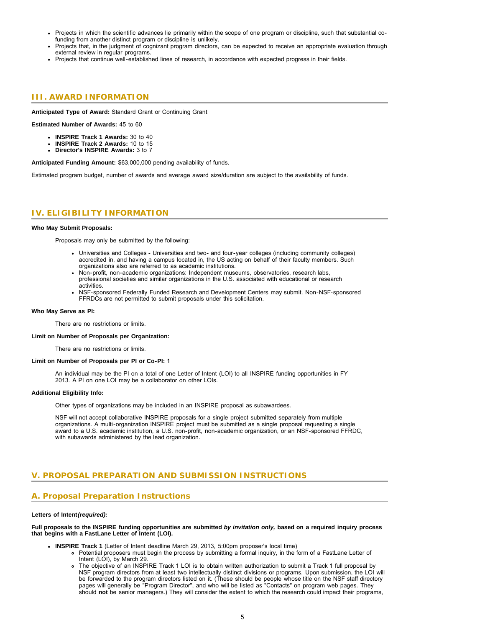- Projects in which the scientific advances lie primarily within the scope of one program or discipline, such that substantial cofunding from another distinct program or discipline is unlikely.
- Projects that, in the judgment of cognizant program directors, can be expected to receive an appropriate evaluation through external review in regular programs.
- Projects that continue well-established lines of research, in accordance with expected progress in their fields.

### <span id="page-4-0"></span>**III. AWARD INFORMATION**

**Anticipated Type of Award:** Standard Grant or Continuing Grant

**Estimated Number of Awards:** 45 to 60

- **INSPIRE Track 1 Awards:** 30 to 40
- **INSPIRE Track 2 Awards:** 10 to 15
- **Director's INSPIRE Awards:** 3 to 7

**Anticipated Funding Amount:** \$63,000,000 pending availability of funds.

Estimated program budget, number of awards and average award size/duration are subject to the availability of funds.

### <span id="page-4-1"></span>**IV. ELIGIBILITY INFORMATION**

#### **Who May Submit Proposals:**

Proposals may only be submitted by the following:

- Universities and Colleges Universities and two- and four-year colleges (including community colleges) accredited in, and having a campus located in, the US acting on behalf of their faculty members. Such organizations also are referred to as academic institutions.
- Non-profit, non-academic organizations: Independent museums, observatories, research labs, professional societies and similar organizations in the U.S. associated with educational or research activities.
- NSF-sponsored Federally Funded Research and Development Centers may submit. Non-NSF-sponsored FFRDCs are not permitted to submit proposals under this solicitation.

#### **Who May Serve as PI:**

There are no restrictions or limits.

#### **Limit on Number of Proposals per Organization:**

There are no restrictions or limits.

#### **Limit on Number of Proposals per PI or Co-PI:** 1

An individual may be the PI on a total of one Letter of Intent (LOI) to all INSPIRE funding opportunities in FY 2013. A PI on one LOI may be a collaborator on other LOIs.

#### **Additional Eligibility Info:**

Other types of organizations may be included in an INSPIRE proposal as subawardees.

NSF will not accept collaborative INSPIRE proposals for a single project submitted separately from multiple organizations. A multi-organization INSPIRE project must be submitted as a single proposal requesting a single award to a U.S. academic institution, a U.S. non-profit, non-academic organization, or an NSF-sponsored FFRDC, with subawards administered by the lead organization.

### <span id="page-4-2"></span>**V. PROPOSAL PREPARATION AND SUBMISSION INSTRUCTIONS**

### **A. Proposal Preparation Instructions**

#### **Letters of Intent***(required):*

**Full proposals to the INSPIRE funding opportunities are submitted** *by invitation only,* **based on a required inquiry process that begins with a FastLane Letter of Intent (LOI).**

- **INSPIRE Track 1** (Letter of Intent deadline March 29, 2013, 5:00pm proposer's local time)
	- Potential proposers must begin the process by submitting a formal inquiry, in the form of a FastLane Letter of Intent (LOI), by March 29.
	- The objective of an INSPIRE Track 1 LOI is to obtain written authorization to submit a Track 1 full proposal by NSF program directors from at least two intellectually distinct divisions or programs. Upon submission, the LOI will be forwarded to the program directors listed on it. (These should be people whose title on the NSF staff directory pages will generally be "Program Director", and who will be listed as "Contacts" on program web pages. They should **not** be senior managers.) They will consider the extent to which the research could impact their programs,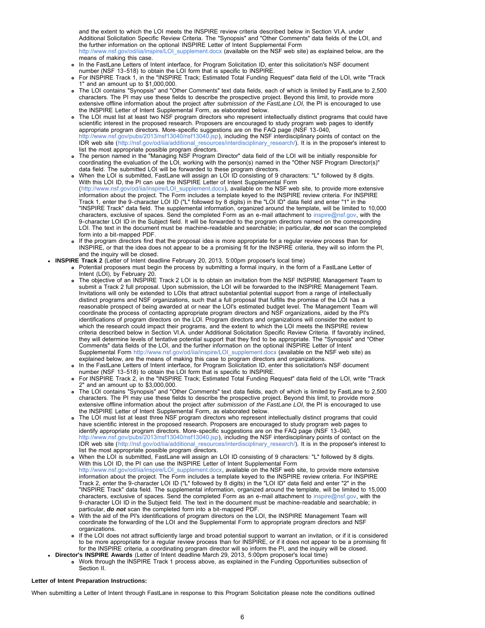and the extent to which the LOI meets the INSPIRE review criteria described below in Section VI.A. under Additional Solicitation Specific Review Criteria. The "Synopsis" and "Other Comments" data fields of the LOI, and the further information on the optional INSPIRE Letter of Intent Supplemental Form [http://www.nsf.gov/od/iia/inspire/LOI\\_supplement.docx](http://www.nsf.gov/od/iia/inspire/LOI_supplement.docx) (available on the NSF web site) as explained below, are the means of making this case.

- In the FastLane Letters of Intent interface, for Program Solicitation ID, enter this solicitation's NSF document number (NSF 13-518) to obtain the LOI form that is specific to INSPIRE.
- For INSPIRE Track 1, in the "INSPIRE Track; Estimated Total Funding Request" data field of the LOI, write "Track 1" and an amount up to \$1,000,000.
- The LOI contains "Synopsis" and "Other Comments" text data fields, each of which is limited by FastLane to 2,500 characters. The PI may use these fields to describe the prospective project. Beyond this limit, to provide more extensive offline information about the project *after submission of the FastLane LOI,* the PI is encouraged to use the INSPIRE Letter of Intent Supplemental Form, as elaborated below.
- The LOI must list at least two NSF program directors who represent intellectually distinct programs that could have scientific interest in the proposed research. Proposers are encouraged to study program web pages to identify appropriate program directors. More-specific suggestions are on the FAQ page (NSF 13-040, <http://www.nsf.gov/pubs/2013/nsf13040/nsf13040.jsp>), including the NSF interdisciplinary points of contact on the IDR web site ([http://nsf.gov/od/iia/additional\\_resources/interdisciplinary\\_research/\)](http://nsf.gov/od/iia/additional_resources/interdisciplinary_research/). It is in the proposer's interest to list the most appropriate possible program directors.
- The person named in the "Managing NSF Program Director" data field of the LOI will be initially responsible for coordinating the evaluation of the LOI, working with the person(s) named in the "Other NSF Program Director(s)" data field. The submitted LOI will be forwarded to these program directors.
- When the LOI is submitted, FastLane will assign an LOI ID consisting of 9 characters: "L" followed by 8 digits. With this LOI ID, the PI can use the INSPIRE Letter of Intent Supplemental Form ([http://www.nsf.gov/od/iia/inspire/LOI\\_supplement.docx\)](http://www.nsf.gov/od/iia/inspire/LOI_supplement.docx), available on the NSF web site, to provide more extensive information about the project. The Form includes a template keyed to the INSPIRE review criteria. For INSPIRE Track 1, enter the 9-character LOI ID ("L" followed by 8 digits) in the "LOI ID" data field and enter "1" in the "INSPIRE Track" data field. The supplemental information, organized around the template, will be limited to 10,000 characters, exclusive of spaces. Send the completed Form as an e-mail attachment to [inspire@nsf.gov](mailto:inspire@nsf.gov), with the 9-character LOI ID in the Subject field. It will be forwarded to the program directors named on the corresponding LOI. The text in the document must be machine-readable and searchable; in particular, *do not* scan the completed form into a bit-mapped PDF.
- If the program directors find that the proposal idea is more appropriate for a regular review process than for INSPIRE, or that the idea does not appear to be a promising fit for the INSPIRE criteria, they will so inform the PI, and the inquiry will be closed.

#### **INSPIRE Track 2** (Letter of Intent deadline February 20, 2013, 5:00pm proposer's local time)

- Potential proposers must begin the process by submitting a formal inquiry, in the form of a FastLane Letter of Intent (LOI), by February 20.
- The objective of an INSPIRE Track 2 LOI is to obtain an invitation from the NSF INSPIRE Management Team to submit a Track 2 full proposal. Upon submission, the LOI will be forwarded to the INSPIRE Management Team. Invitations will only be extended to LOIs that attract substantial potential support from a range of intellectually distinct programs and NSF organizations, such that a full proposal that fulfills the promise of the LOI has a reasonable prospect of being awarded at or near the LOI's estimated budget level. The Management Team will coordinate the process of contacting appropriate program directors and NSF organizations, aided by the PI's identifications of program directors on the LOI. Program directors and organizations will consider the extent to which the research could impact their programs, and the extent to which the LOI meets the INSPIRE review criteria described below in Section VI.A. under Additional Solicitation Specific Review Criteria. If favorably inclined, they will determine levels of tentative potential support that they find to be appropriate. The "Synopsis" and "Other Comments" data fields of the LOI, and the further information on the optional INSPIRE Letter of Intent Supplemental Form [http://www.nsf.gov/od/iia/inspire/LOI\\_supplement.docx](http://www.nsf.gov/od/iia/inspire/LOI_supplement.docx) (available on the NSF web site) as explained below, are the means of making this case to program directors and organizations.
- In the FastLane Letters of Intent interface, for Program Solicitation ID, enter this solicitation's NSF document number (NSF 13-518) to obtain the LOI form that is specific to INSPIRE.
- For INSPIRE Track 2, in the "INSPIRE Track; Estimated Total Funding Request" data field of the LOI, write "Track 2" and an amount up to \$3,000,000.
- The LOI contains "Synopsis" and "Other Comments" text data fields, each of which is limited by FastLane to 2,500 characters. The PI may use these fields to describe the prospective project. Beyond this limit, to provide more extensive offline information about the project *after submission of the FastLane LOI,* the PI is encouraged to use the INSPIRE Letter of Intent Supplemental Form, as elaborated below.
- The LOI must list at least three NSF program directors who represent intellectually distinct programs that could have scientific interest in the proposed research. Proposers are encouraged to study program web pages to identify appropriate program directors. More-specific suggestions are on the FAQ page (NSF 13-040, <http://www.nsf.gov/pubs/2013/nsf13040/nsf13040.jsp>), including the NSF interdisciplinary points of contact on the IDR web site ([http://nsf.gov/od/iia/additional\\_resources/interdisciplinary\\_research/\)](http://nsf.gov/od/iia/additional_resources/interdisciplinary_research/). It is in the proposer's interest to list the most appropriate possible program directors.
- When the LOI is submitted, FastLane will assign an LOI ID consisting of 9 characters: "L" followed by 8 digits. With this LOI ID, the PI can use the INSPIRE Letter of Intent Supplemental Form [http://www.nsf.gov/od/iia/inspire/LOI\\_supplement.docx,](http://www.nsf.gov/od/iia/inspire/LOI_supplement.docx) available on the NSF web site, to provide more extensive information about the project. The Form includes a template keyed to the INSPIRE review criteria. For INSPIRE Track 2, enter the 9-character LOI ID ("L" followed by 8 digits) in the "LOI ID" data field and enter "2" in the "INSPIRE Track" data field. The supplemental information, organized around the template, will be limited to 15,000 characters, exclusive of spaces. Send the completed Form as an e-mail attachment to [inspire@nsf.gov](mailto:inspire@nsf.gov), with the 9-character LOI ID in the Subject field. The text in the document must be machine-readable and searchable; in particular, *do not* scan the completed form into a bit-mapped PDF.
- With the aid of the PI's identifications of program directors on the LOI, the INSPIRE Management Team will coordinate the forwarding of the LOI and the Supplemental Form to appropriate program directors and NSF organizations.
- If the LOI does not attract sufficiently large and broad potential support to warrant an invitation, or if it is considered to be more appropriate for a regular review process than for INSPIRE, or if it does not appear to be a promising fit for the INSPIRE criteria, a coordinating program director will so inform the PI, and the inquiry will be closed. **Director's INSPIRE Awards** (Letter of Intent deadline March 29, 2013, 5:00pm proposer's local time)
	- Work through the INSPIRE Track 1 process above, as explained in the Funding Opportunities subsection of Section II.

### **Letter of Intent Preparation Instructions:**

When submitting a Letter of Intent through FastLane in response to this Program Solicitation please note the conditions outlined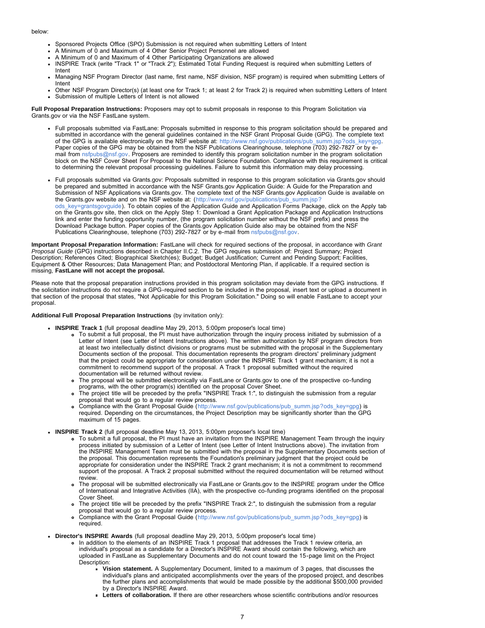#### below:

- Sponsored Projects Office (SPO) Submission is not required when submitting Letters of Intent
- A Minimum of 0 and Maximum of 4 Other Senior Project Personnel are allowed
- A Minimum of 0 and Maximum of 4 Other Participating Organizations are allowed
- INSPIRE Track (write "Track 1" or "Track 2"); Estimated Total Funding Request is required when submitting Letters of Intent
- Managing NSF Program Director (last name, first name, NSF division, NSF program) is required when submitting Letters of Intent
- Other NSF Program Director(s) (at least one for Track 1; at least 2 for Track 2) is required when submitting Letters of Intent
- Submission of multiple Letters of Intent is not allowed

**Full Proposal Preparation Instructions:** Proposers may opt to submit proposals in response to this Program Solicitation via Grants.gov or via the NSF FastLane system.

- Full proposals submitted via FastLane: Proposals submitted in response to this program solicitation should be prepared and submitted in accordance with the general guidelines contained in the NSF Grant Proposal Guide (GPG). The complete text of the GPG is available electronically on the NSF website at: [http://www.nsf.gov/publications/pub\\_summ.jsp?ods\\_key=gpg.](http://www.nsf.gov/publications/pub_summ.jsp?ods_key=gpg) Paper copies of the GPG may be obtained from the NSF Publications Clearinghouse, telephone (703) 292-7827 or by email from [nsfpubs@nsf.gov.](mailto:nsfpubs@nsf.gov) Proposers are reminded to identify this program solicitation number in the program solicitation block on the NSF Cover Sheet For Proposal to the National Science Foundation. Compliance with this requirement is critical to determining the relevant proposal processing guidelines. Failure to submit this information may delay processing.
- Full proposals submitted via Grants.gov: Proposals submitted in response to this program solicitation via Grants.gov should be prepared and submitted in accordance with the NSF Grants.gov Application Guide: A Guide for the Preparation and Submission of NSF Applications via Grants.gov. The complete text of the NSF Grants.gov Application Guide is available on the Grants.gov website and on the NSF website at: ([http://www.nsf.gov/publications/pub\\_summ.jsp?](http://www.nsf.gov/publications/pub_summ.jsp?ods_key=grantsgovguide) [ods\\_key=grantsgovguide\)](http://www.nsf.gov/publications/pub_summ.jsp?ods_key=grantsgovguide). To obtain copies of the Application Guide and Application Forms Package, click on the Apply tab on the Grants.gov site, then click on the Apply Step 1: Download a Grant Application Package and Application Instructions link and enter the funding opportunity number, (the program solicitation number without the NSF prefix) and press the Download Package button. Paper copies of the Grants.gov Application Guide also may be obtained from the NSF Publications Clearinghouse, telephone (703) 292-7827 or by e-mail from [nsfpubs@nsf.gov.](mailto:nsfpubs@nsf.gov)

**Important Proposal Preparation Information:** FastLane will check for required sections of the proposal, in accordance with *Grant Proposal Guide* (GPG) instructions described in Chapter II.C.2. The GPG requires submission of: Project Summary; Project Description; References Cited; Biographical Sketch(es); Budget; Budget Justification; Current and Pending Support; Facilities, Equipment & Other Resources; Data Management Plan; and Postdoctoral Mentoring Plan, if applicable. If a required section is missing, **FastLane will not accept the proposal.**

Please note that the proposal preparation instructions provided in this program solicitation may deviate from the GPG instructions. If the solicitation instructions do not require a GPG-required section to be included in the proposal, insert text or upload a document in that section of the proposal that states, "Not Applicable for this Program Solicitation." Doing so will enable FastLane to accept your proposal.

#### **Additional Full Proposal Preparation Instructions** (by invitation only):

- **INSPIRE Track 1** (full proposal deadline May 29, 2013, 5:00pm proposer's local time)
	- To submit a full proposal, the PI must have authorization through the inquiry process initiated by submission of a Letter of Intent (see Letter of Intent Instructions above). The written authorization by NSF program directors from at least two intellectually distinct divisions or programs must be submitted with the proposal in the Supplementary Documents section of the proposal. This documentation represents the program directors' preliminary judgment that the project could be appropriate for consideration under the INSPIRE Track 1 grant mechanism; it is not a commitment to recommend support of the proposal. A Track 1 proposal submitted without the required documentation will be returned without review.
	- The proposal will be submitted electronically via FastLane or Grants.gov to one of the prospective co-funding programs, with the other program(s) identified on the proposal Cover Sheet.
	- The project title will be preceded by the prefix "INSPIRE Track 1:", to distinguish the submission from a regular proposal that would go to a regular review process.
	- Compliance with the Grant Proposal Guide ([http://www.nsf.gov/publications/pub\\_summ.jsp?ods\\_key=gpg\)](http://www.nsf.gov/publications/pub_summ.jsp?ods_key=gpg) is required. Depending on the circumstances, the Project Description may be significantly shorter than the GPG maximum of 15 pages.
- **INSPIRE Track 2** (full proposal deadline May 13, 2013, 5:00pm proposer's local time)
	- To submit a full proposal, the PI must have an invitation from the INSPIRE Management Team through the inquiry process initiated by submission of a Letter of Intent (see Letter of Intent Instructions above). The invitation from the INSPIRE Management Team must be submitted with the proposal in the Supplementary Documents section of the proposal. This documentation represents the Foundation's preliminary judgment that the project could be appropriate for consideration under the INSPIRE Track 2 grant mechanism; it is not a commitment to recommend support of the proposal. A Track 2 proposal submitted without the required documentation will be returned without review.
	- The proposal will be submitted electronically via FastLane or Grants.gov to the INSPIRE program under the Office of International and Integrative Activities (IIA), with the prospective co-funding programs identified on the proposal Cover Sheet.
	- The project title will be preceded by the prefix "INSPIRE Track 2:", to distinguish the submission from a regular proposal that would go to a regular review process.
	- Compliance with the Grant Proposal Guide ([http://www.nsf.gov/publications/pub\\_summ.jsp?ods\\_key=gpg\)](http://www.nsf.gov/publications/pub_summ.jsp?ods_key=gpg) is  $\bullet$ required.
- **Director's INSPIRE Awards** (full proposal deadline May 29, 2013, 5:00pm proposer's local time)
	- In addition to the elements of an INSPIRE Track 1 proposal that addresses the Track 1 review criteria, an individual's proposal as a candidate for a Director's INSPIRE Award should contain the following, which are uploaded in FastLane as Supplementary Documents and do not count toward the 15-page limit on the Project Description:
		- **Vision statement.** A Supplementary Document, limited to a maximum of 3 pages, that discusses the individual's plans and anticipated accomplishments over the years of the proposed project, and describes the further plans and accomplishments that would be made possible by the additional \$500,000 provided by a Director's INSPIRE Award.
		- **Letters of collaboration.** If there are other researchers whose scientific contributions and/or resources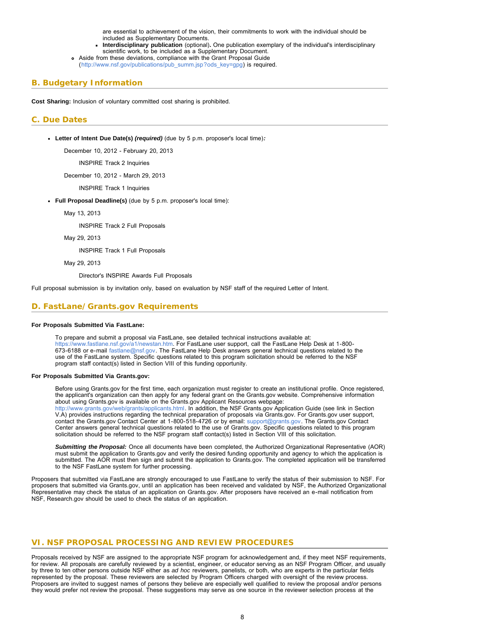are essential to achievement of the vision, their commitments to work with the individual should be included as Supplementary Documents.

- **Interdisciplinary publication** (optional)**.** One publication exemplary of the individual's interdisciplinary scientific work, to be included as a Supplementary Document.
- Aside from these deviations, compliance with the Grant Proposal Guide ([http://www.nsf.gov/publications/pub\\_summ.jsp?ods\\_key=gpg\)](http://www.nsf.gov/publications/pub_summ.jsp?ods_key=gpg) is required.

# <span id="page-7-1"></span><span id="page-7-0"></span>**B. Budgetary Information**

**Cost Sharing:** Inclusion of voluntary committed cost sharing is prohibited.

### **C. Due Dates**

**Letter of Intent Due Date(s)** *(required)* (due by 5 p.m. proposer's local time)*:*

December 10, 2012 - February 20, 2013

INSPIRE Track 2 Inquiries

December 10, 2012 - March 29, 2013

INSPIRE Track 1 Inquiries

**Full Proposal Deadline(s)** (due by 5 p.m. proposer's local time):

May 13, 2013

INSPIRE Track 2 Full Proposals

May 29, 2013

INSPIRE Track 1 Full Proposals

May 29, 2013

Director's INSPIRE Awards Full Proposals

Full proposal submission is by invitation only, based on evaluation by NSF staff of the required Letter of Intent.

### <span id="page-7-2"></span>**D. FastLane/Grants.gov Requirements**

#### **For Proposals Submitted Via FastLane:**

To prepare and submit a proposal via FastLane, see detailed technical instructions available at: [https://www.fastlane.nsf.gov/a1/newstan.htm.](https://www.fastlane.nsf.gov/a1/newstan.htm) For FastLane user support, call the FastLane Help Desk at 1-800- 673-6188 or e-mail [fastlane@nsf.gov.](mailto:fastlane@nsf.gov) The FastLane Help Desk answers general technical questions related to the use of the FastLane system. Specific questions related to this program solicitation should be referred to the NSF program staff contact(s) listed in Section VIII of this funding opportunity.

#### **For Proposals Submitted Via Grants.gov:**

Before using Grants.gov for the first time, each organization must register to create an institutional profile. Once registered, the applicant's organization can then apply for any federal grant on the Grants.gov website. Comprehensive information about using Grants.gov is available on the Grants.gov Applicant Resources webpage: [http://www.grants.gov/web/grants/applicants.html.](http://www.grants.gov/web/grants/applicants.html) In addition, the NSF Grants.gov Application Guide (see link in Section

V.A) provides instructions regarding the technical preparation of proposals via Grants.gov. For Grants.gov user support, contact the Grants.gov Contact Center at 1-800-518-4726 or by email: [support@grants.gov](mailto:support@grants.gov). The Grants.gov Contact Center answers general technical questions related to the use of Grants.gov. Specific questions related to this program solicitation should be referred to the NSF program staff contact(s) listed in Section VIII of this solicitation.

*Submitting the Proposal:* Once all documents have been completed, the Authorized Organizational Representative (AOR) must submit the application to Grants.gov and verify the desired funding opportunity and agency to which the application is submitted. The AOR must then sign and submit the application to Grants.gov. The completed application will be transferred to the NSF FastLane system for further processing.

Proposers that submitted via FastLane are strongly encouraged to use FastLane to verify the status of their submission to NSF. For proposers that submitted via Grants.gov, until an application has been received and validated by NSF, the Authorized Organizational Representative may check the status of an application on Grants.gov. After proposers have received an e-mail notification from NSF, Research.gov should be used to check the status of an application.

### <span id="page-7-3"></span>**VI. NSF PROPOSAL PROCESSING AND REVIEW PROCEDURES**

Proposals received by NSF are assigned to the appropriate NSF program for acknowledgement and, if they meet NSF requirements, for review. All proposals are carefully reviewed by a scientist, engineer, or educator serving as an NSF Program Officer, and usually by three to ten other persons outside NSF either as *ad hoc* reviewers, panelists, or both, who are experts in the particular fields represented by the proposal. These reviewers are selected by Program Officers charged with oversight of the review process. Proposers are invited to suggest names of persons they believe are especially well qualified to review the proposal and/or persons they would prefer not review the proposal. These suggestions may serve as one source in the reviewer selection process at the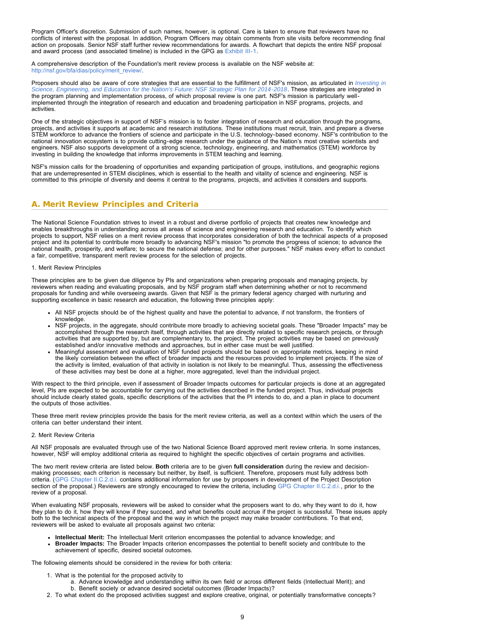Program Officer's discretion. Submission of such names, however, is optional. Care is taken to ensure that reviewers have no conflicts of interest with the proposal. In addition, Program Officers may obtain comments from site visits before recommending final action on proposals. Senior NSF staff further review recommendations for awards. A flowchart that depicts the entire NSF proposal and award process (and associated timeline) is included in the GPG as [Exhibit III-1](http://www.nsf.gov/pubs/policydocs/pappguide/nsf14001/gpg_3ex1.pdf).

A comprehensive description of the Foundation's merit review process is available on the NSF website at: [http://nsf.gov/bfa/dias/policy/merit\\_review/.](http://nsf.gov/bfa/dias/policy/merit_review/)

Proposers should also be aware of core strategies that are essential to the fulfillment of NSF's mission, as articulated in *[Investing in](http://www.nsf.gov/pubs/2014/nsf14043/nsf14043.pdf) [Science, Engineering, and Education for the Nation's Future: NSF Strategic Plan for 2014-2018](http://www.nsf.gov/pubs/2014/nsf14043/nsf14043.pdf)*. These strategies are integrated in the program planning and implementation process, of which proposal review is one part. NSF's mission is particularly wellimplemented through the integration of research and education and broadening participation in NSF programs, projects, and activities.

One of the strategic objectives in support of NSF's mission is to foster integration of research and education through the programs, projects, and activities it supports at academic and research institutions. These institutions must recruit, train, and prepare a diverse STEM workforce to advance the frontiers of science and participate in the U.S. technology-based economy. NSF's contribution to the national innovation ecosystem is to provide cutting-edge research under the guidance of the Nation's most creative scientists and engineers. NSF also supports development of a strong science, technology, engineering, and mathematics (STEM) workforce by investing in building the knowledge that informs improvements in STEM teaching and learning.

NSF's mission calls for the broadening of opportunities and expanding participation of groups, institutions, and geographic regions that are underrepresented in STEM disciplines, which is essential to the health and vitality of science and engineering. NSF is committed to this principle of diversity and deems it central to the programs, projects, and activities it considers and supports.

### <span id="page-8-0"></span>**A. Merit Review Principles and Criteria**

The National Science Foundation strives to invest in a robust and diverse portfolio of projects that creates new knowledge and enables breakthroughs in understanding across all areas of science and engineering research and education. To identify which projects to support, NSF relies on a merit review process that incorporates consideration of both the technical aspects of a proposed project and its potential to contribute more broadly to advancing NSF's mission "to promote the progress of science; to advance the national health, prosperity, and welfare; to secure the national defense; and for other purposes." NSF makes every effort to conduct a fair, competitive, transparent merit review process for the selection of projects.

#### 1. Merit Review Principles

These principles are to be given due diligence by PIs and organizations when preparing proposals and managing projects, by reviewers when reading and evaluating proposals, and by NSF program staff when determining whether or not to recommend proposals for funding and while overseeing awards. Given that NSF is the primary federal agency charged with nurturing and supporting excellence in basic research and education, the following three principles apply:

- All NSF projects should be of the highest quality and have the potential to advance, if not transform, the frontiers of knowledge.
- NSF projects, in the aggregate, should contribute more broadly to achieving societal goals. These "Broader Impacts" may be accomplished through the research itself, through activities that are directly related to specific research projects, or through activities that are supported by, but are complementary to, the project. The project activities may be based on previously established and/or innovative methods and approaches, but in either case must be well justified.
- Meaningful assessment and evaluation of NSF funded projects should be based on appropriate metrics, keeping in mind the likely correlation between the effect of broader impacts and the resources provided to implement projects. If the size of the activity is limited, evaluation of that activity in isolation is not likely to be meaningful. Thus, assessing the effectiveness of these activities may best be done at a higher, more aggregated, level than the individual project.

With respect to the third principle, even if assessment of Broader Impacts outcomes for particular projects is done at an aggregated level, PIs are expected to be accountable for carrying out the activities described in the funded project. Thus, individual projects should include clearly stated goals, specific descriptions of the activities that the PI intends to do, and a plan in place to document the outputs of those activities.

These three merit review principles provide the basis for the merit review criteria, as well as a context within which the users of the criteria can better understand their intent.

### 2. Merit Review Criteria

All NSF proposals are evaluated through use of the two National Science Board approved merit review criteria. In some instances, however, NSF will employ additional criteria as required to highlight the specific objectives of certain programs and activities.

The two merit review criteria are listed below. **Both** criteria are to be given **full consideration** during the review and decisionmaking processes; each criterion is necessary but neither, by itself, is sufficient. Therefore, proposers must fully address both criteria. ([GPG Chapter II.C.2.d.i.](http://www.nsf.gov/pubs/policydocs/pappguide/nsf13001/gpg_2.jsp#IIC2di) contains additional information for use by proposers in development of the Project Description section of the proposal.) Reviewers are strongly encouraged to review the criteria, including [GPG Chapter II.C.2.d.i.,](http://www.nsf.gov/pubs/policydocs/pappguide/nsf13001/gpg_2.jsp#IIC2di) prior to the review of a proposal.

When evaluating NSF proposals, reviewers will be asked to consider what the proposers want to do, why they want to do it, how they plan to do it, how they will know if they succeed, and what benefits could accrue if the project is successful. These issues apply both to the technical aspects of the proposal and the way in which the project may make broader contributions. To that end, reviewers will be asked to evaluate all proposals against two criteria:

- **Intellectual Merit:** The Intellectual Merit criterion encompasses the potential to advance knowledge; and
- **Broader Impacts:** The Broader Impacts criterion encompasses the potential to benefit society and contribute to the achievement of specific, desired societal outcomes.

The following elements should be considered in the review for both criteria:

- 1. What is the potential for the proposed activity to
- a. Advance knowledge and understanding within its own field or across different fields (Intellectual Merit); and b. Benefit society or advance desired societal outcomes (Broader Impacts)?
- 2. To what extent do the proposed activities suggest and explore creative, original, or potentially transformative concepts?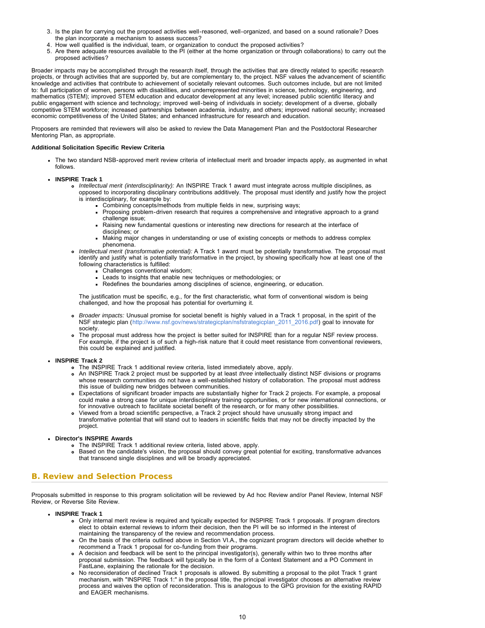- 3. Is the plan for carrying out the proposed activities well-reasoned, well-organized, and based on a sound rationale? Does the plan incorporate a mechanism to assess success?
- 4. How well qualified is the individual, team, or organization to conduct the proposed activities?
- 5. Are there adequate resources available to the PI (either at the home organization or through collaborations) to carry out the proposed activities?

Broader impacts may be accomplished through the research itself, through the activities that are directly related to specific research projects, or through activities that are supported by, but are complementary to, the project. NSF values the advancement of scientific knowledge and activities that contribute to achievement of societally relevant outcomes. Such outcomes include, but are not limited to: full participation of women, persons with disabilities, and underrepresented minorities in science, technology, engineering, and mathematics (STEM); improved STEM education and educator development at any level; increased public scientific literacy and public engagement with science and technology; improved well-being of individuals in society; development of a diverse, globally competitive STEM workforce; increased partnerships between academia, industry, and others; improved national security; increased economic competitiveness of the United States; and enhanced infrastructure for research and education.

Proposers are reminded that reviewers will also be asked to review the Data Management Plan and the Postdoctoral Researcher Mentoring Plan, as appropriate.

### **Additional Solicitation Specific Review Criteria**

- The two standard NSB-approved merit review criteria of intellectual merit and broader impacts apply, as augmented in what follows.
- **INSPIRE Track 1**
	- *Intellectual merit (interdisciplinarity):* An INSPIRE Track 1 award must integrate across multiple disciplines, as opposed to incorporating disciplinary contributions additively. The proposal must identify and justify how the project is interdisciplinary, for example by:
		- Combining concepts/methods from multiple fields in new, surprising ways;
			- Proposing problem-driven research that requires a comprehensive and integrative approach to a grand challenge issue;
			- Raising new fundamental questions or interesting new directions for research at the interface of disciplines; or
			- Making major changes in understanding or use of existing concepts or methods to address complex phenomena.
	- *Intellectual merit (transformative potential):* A Track 1 award must be potentially transformative. The proposal must identify and justify what is potentially transformative in the project, by showing specifically how at least one of the following characteristics is fulfilled:
		- Challenges conventional wisdom;
		- Leads to insights that enable new techniques or methodologies; or
		- Redefines the boundaries among disciplines of science, engineering, or education.

The justification must be specific, e.g., for the first characteristic, what form of conventional wisdom is being challenged, and how the proposal has potential for overturning it.

- *Broader impacts:* Unusual promise for societal benefit is highly valued in a Track 1 proposal, in the spirit of the NSF strategic plan ([http://www.nsf.gov/news/strategicplan/nsfstrategicplan\\_2011\\_2016.pdf](http://www.nsf.gov/news/strategicplan/nsfstrategicplan_2011_2016.pdf)) goal to innovate for society.
- The proposal must address how the project is better suited for INSPIRE than for a regular NSF review process.  $\bullet$ For example, if the project is of such a high-risk nature that it could meet resistance from conventional reviewers, this could be explained and justified.

#### **INSPIRE Track 2**

- The INSPIRE Track 1 additional review criteria, listed immediately above, apply.
- An INSPIRE Track 2 project must be supported by at least *three* intellectually distinct NSF divisions or programs whose research communities do not have a well-established history of collaboration. The proposal must address this issue of building new bridges between communities.
- Expectations of significant broader impacts are substantially higher for Track 2 projects. For example, a proposal could make a strong case for unique interdisciplinary training opportunities, or for new international connections, or for innovative outreach to facilitate societal benefit of the research, or for many other possibilities.
- Viewed from a broad scientific perspective, a Track 2 project should have unusually strong impact and transformative potential that will stand out to leaders in scientific fields that may not be directly impacted by the project.
- **Director's INSPIRE Awards**
	- The INSPIRE Track 1 additional review criteria, listed above, apply.
	- Based on the candidate's vision, the proposal should convey great potential for exciting, transformative advances that transcend single disciplines and will be broadly appreciated.

### <span id="page-9-0"></span>**B. Review and Selection Process**

Proposals submitted in response to this program solicitation will be reviewed by Ad hoc Review and/or Panel Review, Internal NSF Review, or Reverse Site Review.

**INSPIRE Track 1**

- Only internal merit review is required and typically expected for INSPIRE Track 1 proposals. If program directors elect to obtain external reviews to inform their decision, then the PI will be so informed in the interest of maintaining the transparency of the review and recommendation process.
- On the basis of the criteria outlined above in Section VI.A., the cognizant program directors will decide whether to recommend a Track 1 proposal for co-funding from their programs.
- A decision and feedback will be sent to the principal investigator(s), generally within two to three months after proposal submission. The feedback will typically be in the form of a Context Statement and a PO Comment in FastLane, explaining the rationale for the decision.
- No reconsideration of declined Track 1 proposals is allowed. By submitting a proposal to the pilot Track 1 grant mechanism, with "INSPIRE Track 1:" in the proposal title, the principal investigator chooses an alternative review process and waives the option of reconsideration. This is analogous to the GPG provision for the existing RAPID and EAGER mechanisms.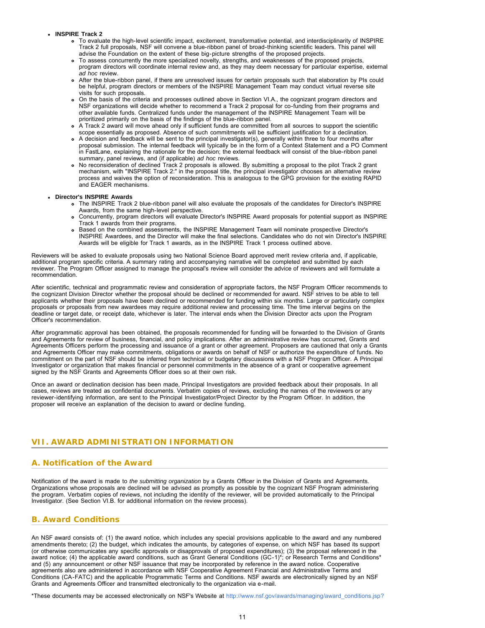### **INSPIRE Track 2**

- To evaluate the high-level scientific impact, excitement, transformative potential, and interdisciplinarity of INSPIRE Track 2 full proposals, NSF will convene a blue-ribbon panel of broad-thinking scientific leaders. This panel will advise the Foundation on the extent of these big-picture strengths of the proposed projects.
- To assess concurrently the more specialized novelty, strengths, and weaknesses of the proposed projects, program directors will coordinate internal review and, as they may deem necessary for particular expertise, external *ad hoc* review.
- After the blue-ribbon panel, if there are unresolved issues for certain proposals such that elaboration by PIs could be helpful, program directors or members of the INSPIRE Management Team may conduct virtual reverse site visits for such proposals.
- On the basis of the criteria and processes outlined above in Section VI.A., the cognizant program directors and NSF organizations will decide whether to recommend a Track 2 proposal for co-funding from their programs and other available funds. Centralized funds under the management of the INSPIRE Management Team will be prioritized primarily on the basis of the findings of the blue-ribbon panel.
- A Track 2 award will move ahead only if sufficient funds are committed from all sources to support the scientific scope essentially as proposed. Absence of such commitments will be sufficient justification for a declination.
- A decision and feedback will be sent to the principal investigator(s), generally within three to four months after proposal submission. The internal feedback will typically be in the form of a Context Statement and a PO Comment in FastLane, explaining the rationale for the decision; the external feedback will consist of the blue-ribbon panel summary, panel reviews, and (if applicable) *ad hoc* reviews.
- No reconsideration of declined Track 2 proposals is allowed. By submitting a proposal to the pilot Track 2 grant mechanism, with "INSPIRE Track 2:" in the proposal title, the principal investigator chooses an alternative review process and waives the option of reconsideration. This is analogous to the GPG provision for the existing RAPID and EAGER mechanisms.

#### **Director's INSPIRE Awards**

- The INSPIRE Track 2 blue-ribbon panel will also evaluate the proposals of the candidates for Director's INSPIRE Awards, from the same high-level perspective.
- Concurrently, program directors will evaluate Director's INSPIRE Award proposals for potential support as INSPIRE Track 1 awards from their programs.
- Based on the combined assessments, the INSPIRE Management Team will nominate prospective Director's INSPIRE Awardees, and the Director will make the final selections. Candidates who do not win Director's INSPIRE Awards will be eligible for Track 1 awards, as in the INSPIRE Track 1 process outlined above.

Reviewers will be asked to evaluate proposals using two National Science Board approved merit review criteria and, if applicable, additional program specific criteria. A summary rating and accompanying narrative will be completed and submitted by each reviewer. The Program Officer assigned to manage the proposal's review will consider the advice of reviewers and will formulate a recommendation.

After scientific, technical and programmatic review and consideration of appropriate factors, the NSF Program Officer recommends to the cognizant Division Director whether the proposal should be declined or recommended for award. NSF strives to be able to tell applicants whether their proposals have been declined or recommended for funding within six months. Large or particularly complex proposals or proposals from new awardees may require additional review and processing time. The time interval begins on the deadline or target date, or receipt date, whichever is later. The interval ends when the Division Director acts upon the Program Officer's recommendation.

After programmatic approval has been obtained, the proposals recommended for funding will be forwarded to the Division of Grants and Agreements for review of business, financial, and policy implications. After an administrative review has occurred, Grants and Agreements Officers perform the processing and issuance of a grant or other agreement. Proposers are cautioned that only a Grants and Agreements Officer may make commitments, obligations or awards on behalf of NSF or authorize the expenditure of funds. No commitment on the part of NSF should be inferred from technical or budgetary discussions with a NSF Program Officer. A Principal Investigator or organization that makes financial or personnel commitments in the absence of a grant or cooperative agreement signed by the NSF Grants and Agreements Officer does so at their own risk.

Once an award or declination decision has been made, Principal Investigators are provided feedback about their proposals. In all cases, reviews are treated as confidential documents. Verbatim copies of reviews, excluding the names of the reviewers or any reviewer-identifying information, are sent to the Principal Investigator/Project Director by the Program Officer. In addition, the proposer will receive an explanation of the decision to award or decline funding.

# <span id="page-10-0"></span>**VII. AWARD ADMINISTRATION INFORMATION**

### <span id="page-10-1"></span>**A. Notification of the Award**

Notification of the award is made to *the submitting organization* by a Grants Officer in the Division of Grants and Agreements. Organizations whose proposals are declined will be advised as promptly as possible by the cognizant NSF Program administering the program. Verbatim copies of reviews, not including the identity of the reviewer, will be provided automatically to the Principal Investigator. (See Section VI.B. for additional information on the review process).

### <span id="page-10-2"></span>**B. Award Conditions**

An NSF award consists of: (1) the award notice, which includes any special provisions applicable to the award and any numbered amendments thereto; (2) the budget, which indicates the amounts, by categories of expense, on which NSF has based its support (or otherwise communicates any specific approvals or disapprovals of proposed expenditures); (3) the proposal referenced in the award notice; (4) the applicable award conditions, such as Grant General Conditions (GC-1)\*; or Research Terms and Conditions\* and (5) any announcement or other NSF issuance that may be incorporated by reference in the award notice. Cooperative agreements also are administered in accordance with NSF Cooperative Agreement Financial and Administrative Terms and Conditions (CA-FATC) and the applicable Programmatic Terms and Conditions. NSF awards are electronically signed by an NSF Grants and Agreements Officer and transmitted electronically to the organization via e-mail.

\*These documents may be accessed electronically on NSF's Website at [http://www.nsf.gov/awards/managing/award\\_conditions.jsp?](http://www.nsf.gov/awards/managing/award_conditions.jsp?org=NSF)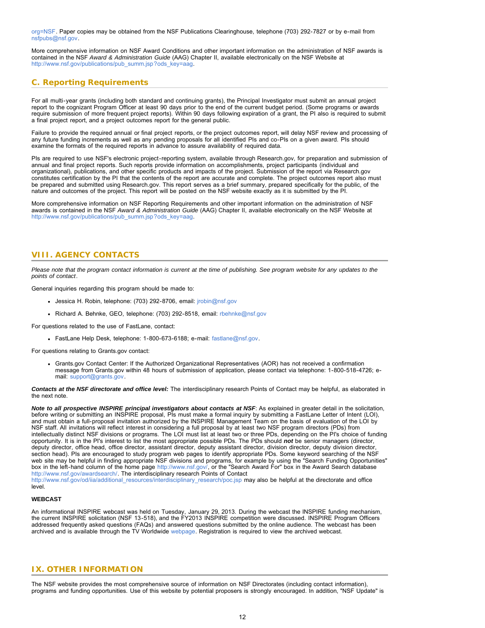[org=NSF.](http://www.nsf.gov/awards/managing/award_conditions.jsp?org=NSF) Paper copies may be obtained from the NSF Publications Clearinghouse, telephone (703) 292-7827 or by e-mail from [nsfpubs@nsf.gov.](mailto:nsfpubs@nsf.gov)

More comprehensive information on NSF Award Conditions and other important information on the administration of NSF awards is contained in the NSF *Award & Administration Guide* (AAG) Chapter II, available electronically on the NSF Website at [http://www.nsf.gov/publications/pub\\_summ.jsp?ods\\_key=aag.](http://www.nsf.gov/publications/pub_summ.jsp?ods_key=aag)

# <span id="page-11-0"></span>**C. Reporting Requirements**

For all multi-year grants (including both standard and continuing grants), the Principal Investigator must submit an annual project report to the cognizant Program Officer at least 90 days prior to the end of the current budget period. (Some programs or awards require submission of more frequent project reports). Within 90 days following expiration of a grant, the PI also is required to submit a final project report, and a project outcomes report for the general public.

Failure to provide the required annual or final project reports, or the project outcomes report, will delay NSF review and processing of any future funding increments as well as any pending proposals for all identified PIs and co-PIs on a given award. PIs should examine the formats of the required reports in advance to assure availability of required data.

PIs are required to use NSF's electronic project-reporting system, available through Research.gov, for preparation and submission of annual and final project reports. Such reports provide information on accomplishments, project participants (individual and organizational), publications, and other specific products and impacts of the project. Submission of the report via Research.gov constitutes certification by the PI that the contents of the report are accurate and complete. The project outcomes report also must be prepared and submitted using Research.gov. This report serves as a brief summary, prepared specifically for the public, of the nature and outcomes of the project. This report will be posted on the NSF website exactly as it is submitted by the PI.

More comprehensive information on NSF Reporting Requirements and other important information on the administration of NSF awards is contained in the NSF *Award & Administration Guide* (AAG) Chapter II, available electronically on the NSF Website at [http://www.nsf.gov/publications/pub\\_summ.jsp?ods\\_key=aag.](http://www.nsf.gov/publications/pub_summ.jsp?ods_key=aag)

## <span id="page-11-1"></span>**VIII. AGENCY CONTACTS**

*Please note that the program contact information is current at the time of publishing. See program website for any updates to the points of contact*.

General inquiries regarding this program should be made to:

- Jessica H. Robin, telephone: (703) 292-8706, email: [jrobin@nsf.gov](mailto:jrobin@nsf.gov)
- Richard A. Behnke, GEO, telephone: (703) 292-8518, email: [rbehnke@nsf.gov](mailto:rbehnke@nsf.gov)
- For questions related to the use of FastLane, contact:
	- FastLane Help Desk, telephone: 1-800-673-6188; e-mail: [fastlane@nsf.gov.](mailto:fastlane@nsf.gov)
- For questions relating to Grants.gov contact:
	- Grants.gov Contact Center: If the Authorized Organizational Representatives (AOR) has not received a confirmation message from Grants.gov within 48 hours of submission of application, please contact via telephone: 1-800-518-4726; email: [support@grants.gov.](mailto:support@grants.gov)

*Contacts at the NSF directorate and office level:* The interdisciplinary research Points of Contact may be helpful, as elaborated in the next note.

*Note to all prospective INSPIRE principal investigators about contacts at NSF*: As explained in greater detail in the solicitation, before writing or submitting an INSPIRE proposal, PIs must make a formal inquiry by submitting a FastLane Letter of Intent (LOI), and must obtain a full-proposal invitation authorized by the INSPIRE Management Team on the basis of evaluation of the LOI by NSF staff. All invitations will reflect interest in considering a full proposal by at least two NSF program directors (PDs) from intellectually distinct NSF divisions or programs. The LOI must list at least two or three PDs, depending on the PI's choice of funding opportunity. It is in the PI's interest to list the most appropriate possible PDs. The PDs should *not* be senior managers (director, deputy director, office head, office director, assistant director, deputy assistant director, division director, deputy division director, section head). PIs are encouraged to study program web pages to identify appropriate PDs. Some keyword searching of the NSF web site may be helpful in finding appropriate NSF divisions and programs, for example by using the "Search Funding Opportunities" box in the left-hand column of the home page [http://www.nsf.gov/,](http://www.nsf.gov/) or the "Search Award For" box in the Award Search database [http://www.nsf.gov/awardsearch/.](http://www.nsf.gov/awardsearch/) The interdisciplinary research Points of Contact [http://www.nsf.gov/od/iia/additional\\_resources/interdisciplinary\\_research/poc.jsp](http://www.nsf.gov/od/iia/additional_resources/interdisciplinary_research/poc.jsp) may also be helpful at the directorate and office level.

### **WEBCAST**

An informational INSPIRE webcast was held on Tuesday, January 29, 2013. During the webcast the INSPIRE funding mechanism, the current INSPIRE solicitation (NSF 13-518), and the FY2013 INSPIRE competition were discussed. INSPIRE Program Officers addressed frequently asked questions (FAQs) and answered questions submitted by the online audience. The webcast has been archived and is available through the TV Worldwide [webpage.](https://www.nsf.gov/cgi-bin/good-bye?http://www.tvworldwide.com/events/nsf/130129/) Registration is required to view the archived webcast.

### <span id="page-11-2"></span>**IX. OTHER INFORMATION**

The NSF website provides the most comprehensive source of information on NSF Directorates (including contact information), programs and funding opportunities. Use of this website by potential proposers is strongly encouraged. In addition, "NSF Update" is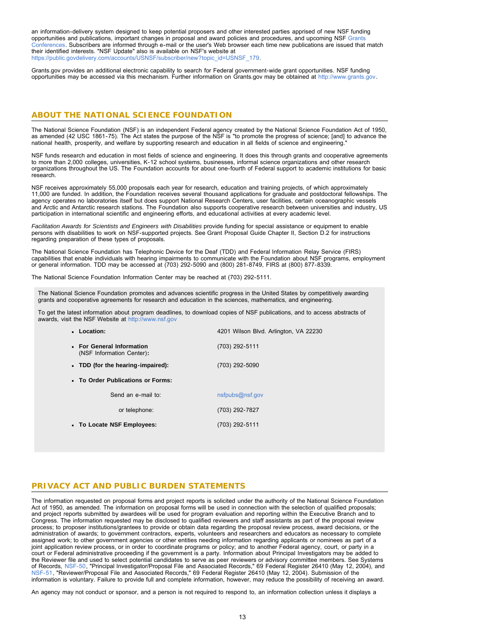an information-delivery system designed to keep potential proposers and other interested parties apprised of new NSF funding opportunities and publications, important changes in proposal and award policies and procedures, and upcoming NSF [Grants](http://www.nsf.gov/bfa/dias/policy/outreach.jsp) [Conferences.](http://www.nsf.gov/bfa/dias/policy/outreach.jsp) Subscribers are informed through e-mail or the user's Web browser each time new publications are issued that match their identified interests. "NSF Update" also is available on NSF's website at [https://public.govdelivery.com/accounts/USNSF/subscriber/new?topic\\_id=USNSF\\_179.](http://www.nsf.gov/cgi-bin/good-bye?https://public.govdelivery.com/accounts/USNSF/subscriber/new?topic_id=USNSF_179)

Grants.gov provides an additional electronic capability to search for Federal government-wide grant opportunities. NSF funding opportunities may be accessed via this mechanism. Further information on Grants.gov may be obtained at [http://www.grants.gov.](http://www.grants.gov/)

### **ABOUT THE NATIONAL SCIENCE FOUNDATION**

The National Science Foundation (NSF) is an independent Federal agency created by the National Science Foundation Act of 1950, as amended (42 USC 1861-75). The Act states the purpose of the NSF is "to promote the progress of science; [and] to advance the national health, prosperity, and welfare by supporting research and education in all fields of science and engineering."

NSF funds research and education in most fields of science and engineering. It does this through grants and cooperative agreements to more than 2,000 colleges, universities, K-12 school systems, businesses, informal science organizations and other research organizations throughout the US. The Foundation accounts for about one-fourth of Federal support to academic institutions for basic research.

NSF receives approximately 55,000 proposals each year for research, education and training projects, of which approximately 11,000 are funded. In addition, the Foundation receives several thousand applications for graduate and postdoctoral fellowships. The agency operates no laboratories itself but does support National Research Centers, user facilities, certain oceanographic vessels and Arctic and Antarctic research stations. The Foundation also supports cooperative research between universities and industry, US participation in international scientific and engineering efforts, and educational activities at every academic level.

*Facilitation Awards for Scientists and Engineers with Disabilities* provide funding for special assistance or equipment to enable persons with disabilities to work on NSF-supported projects. See Grant Proposal Guide Chapter II, Section D.2 for instructions regarding preparation of these types of proposals.

The National Science Foundation has Telephonic Device for the Deaf (TDD) and Federal Information Relay Service (FIRS) capabilities that enable individuals with hearing impairments to communicate with the Foundation about NSF programs, employment or general information. TDD may be accessed at (703) 292-5090 and (800) 281-8749, FIRS at (800) 877-8339.

The National Science Foundation Information Center may be reached at (703) 292-5111.

The National Science Foundation promotes and advances scientific progress in the United States by competitively awarding grants and cooperative agreements for research and education in the sciences, mathematics, and engineering.

To get the latest information about program deadlines, to download copies of NSF publications, and to access abstracts of awards, visit the NSF Website at [http://www.nsf.gov](http://www.nsf.gov/)

| • Location:                                            | 4201 Wilson Blvd. Arlington, VA 22230 |  |  |  |  |  |
|--------------------------------------------------------|---------------------------------------|--|--|--|--|--|
| • For General Information<br>(NSF Information Center): | (703) 292-5111                        |  |  |  |  |  |
| • TDD (for the hearing-impaired):                      | (703) 292-5090                        |  |  |  |  |  |
| • To Order Publications or Forms:                      |                                       |  |  |  |  |  |
| Send an e-mail to:                                     | nsfpubs@nsf.gov                       |  |  |  |  |  |
| or telephone:                                          | (703) 292-7827                        |  |  |  |  |  |
| • To Locate NSF Employees:                             | (703) 292-5111                        |  |  |  |  |  |
|                                                        |                                       |  |  |  |  |  |

# **PRIVACY ACT AND PUBLIC BURDEN STATEMENTS**

The information requested on proposal forms and project reports is solicited under the authority of the National Science Foundation Act of 1950, as amended. The information on proposal forms will be used in connection with the selection of qualified proposals; and project reports submitted by awardees will be used for program evaluation and reporting within the Executive Branch and to Congress. The information requested may be disclosed to qualified reviewers and staff assistants as part of the proposal review process; to proposer institutions/grantees to provide or obtain data regarding the proposal review process, award decisions, or the administration of awards; to government contractors, experts, volunteers and researchers and educators as necessary to complete assigned work; to other government agencies or other entities needing information regarding applicants or nominees as part of a joint application review process, or in order to coordinate programs or policy; and to another Federal agency, court, or party in a court or Federal administrative proceeding if the government is a party. Information about Principal Investigators may be added to the Reviewer file and used to select potential candidates to serve as peer reviewers or advisory committee members. See Systems of Records, [NSF-50,](http://www.nsf.gov/policies/SOR_PA_NSF-50_Principal_Investigator_Proposal_File.pdf) "Principal Investigator/Proposal File and Associated Records," 69 Federal Register 26410 (May 12, 2004), and [NSF-51,](http://www.nsf.gov/policies/SOR_PA_NSF-51_Reviewer_Proposal_File.pdf) "Reviewer/Proposal File and Associated Records," 69 Federal Register 26410 (May 12, 2004). Submission of the information is voluntary. Failure to provide full and complete information, however, may reduce the possibility of receiving an award.

An agency may not conduct or sponsor, and a person is not required to respond to, an information collection unless it displays a